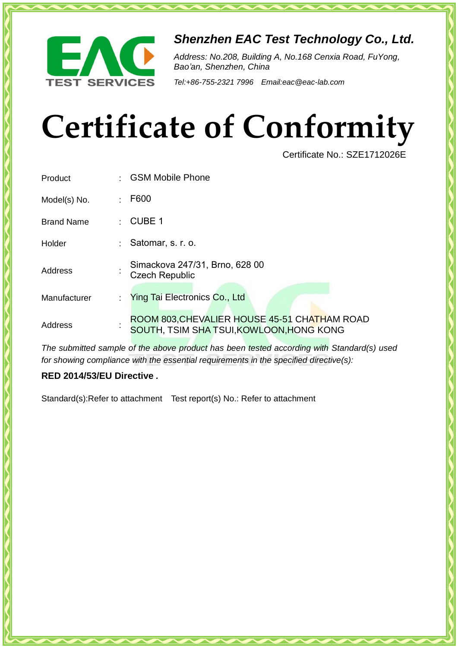

## *Shenzhen EAC Test Technology Co., Ltd.*

*Address: No.208, Building A, No.168 Cenxia Road, FuYong, Bao'an, Shenzhen, China*

*Tel:+86-755-2321 7996 Email:eac@eac-lab.com*

## **Certificate of Conformity**

Certificate No.: SZE1712026E

| Product           | <b>GSM Mobile Phone</b>                                                                  |
|-------------------|------------------------------------------------------------------------------------------|
| Model(s) No.      | F600                                                                                     |
| <b>Brand Name</b> | <b>CUBE 1</b>                                                                            |
| Holder            | Satomar, s. r. o.                                                                        |
| Address           | Simackova 247/31, Brno, 628 00<br><b>Czech Republic</b>                                  |
| Manufacturer      | Ying Tai Electronics Co., Ltd                                                            |
| Address           | ROOM 803, CHEVALIER HOUSE 45-51 CHATHAM ROAD<br>SOUTH, TSIM SHA TSUI, KOWLOON, HONG KONG |

*The submitted sample of the above product has been tested according with Standard(s) used for showing compliance with the essential requirements in the specified directive(s):* 

## **RED 2014/53/EU Directive** *.*

Standard(s):Refer to attachment Test report(s) No.: Refer to attachment